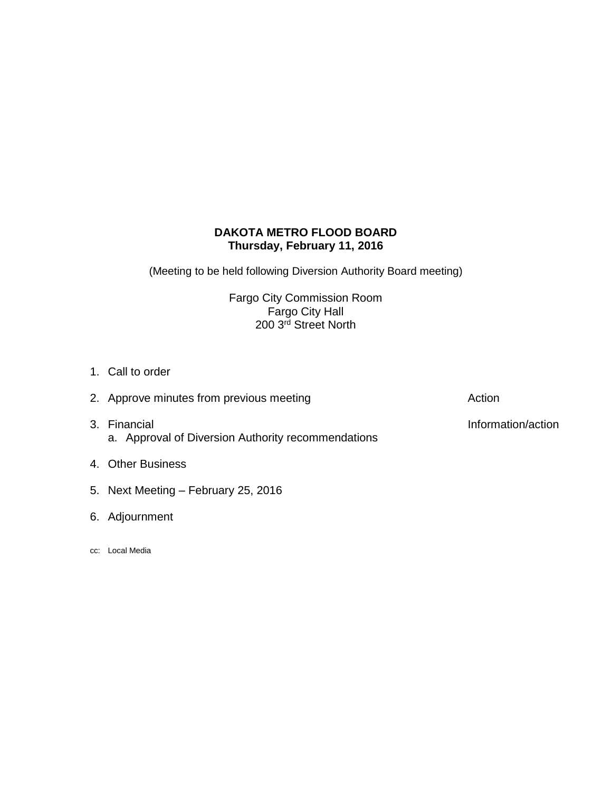# **DAKOTA METRO FLOOD BOARD Thursday, February 11, 2016**

(Meeting to be held following Diversion Authority Board meeting)

Fargo City Commission Room Fargo City Hall 200 3<sup>rd</sup> Street North

- 1. Call to order
- 3. Financial **Information/action** a. Approval of Diversion Authority recommendations
- 4. Other Business
- 5. Next Meeting February 25, 2016
- 6. Adjournment
- cc: Local Media

2. Approve minutes from previous meeting and action action Action